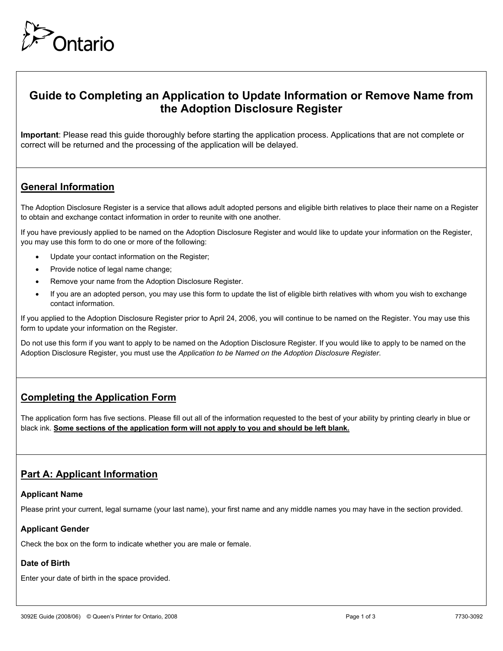

# **Guide to Completing an Application to Update Information or Remove Name from the Adoption Disclosure Register**

**Important**: Please read this guide thoroughly before starting the application process. Applications that are not complete or correct will be returned and the processing of the application will be delayed.

## **General Information**

The Adoption Disclosure Register is a service that allows adult adopted persons and eligible birth relatives to place their name on a Register to obtain and exchange contact information in order to reunite with one another.

If you have previously applied to be named on the Adoption Disclosure Register and would like to update your information on the Register, you may use this form to do one or more of the following:

- Update your contact information on the Register;
- Provide notice of legal name change;
- Remove your name from the Adoption Disclosure Register.
- If you are an adopted person, you may use this form to update the list of eligible birth relatives with whom you wish to exchange contact information.

If you applied to the Adoption Disclosure Register prior to April 24, 2006, you will continue to be named on the Register. You may use this form to update your information on the Register.

Do not use this form if you want to apply to be named on the Adoption Disclosure Register. If you would like to apply to be named on the Adoption Disclosure Register, you must use the *Application to be Named on the Adoption Disclosure Register*.

### **Completing the Application Form**

The application form has five sections. Please fill out all of the information requested to the best of your ability by printing clearly in blue or black ink. **Some sections of the application form will not apply to you and should be left blank.**

### **Part A: Applicant Information**

#### **Applicant Name**

Please print your current, legal surname (your last name), your first name and any middle names you may have in the section provided.

#### **Applicant Gender**

Check the box on the form to indicate whether you are male or female.

#### **Date of Birth**

Enter your date of birth in the space provided.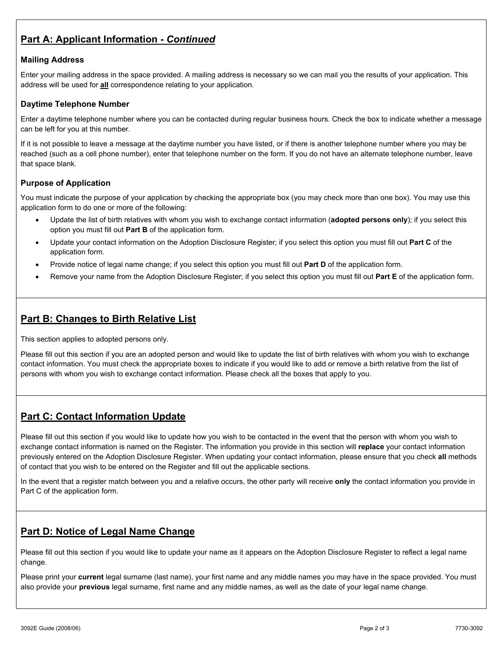## **Part A: Applicant Information -** *Continued*

#### **Mailing Address**

Enter your mailing address in the space provided. A mailing address is necessary so we can mail you the results of your application. This address will be used for **all** correspondence relating to your application.

#### **Daytime Telephone Number**

Enter a daytime telephone number where you can be contacted during regular business hours. Check the box to indicate whether a message can be left for you at this number.

If it is not possible to leave a message at the daytime number you have listed, or if there is another telephone number where you may be reached (such as a cell phone number), enter that telephone number on the form. If you do not have an alternate telephone number, leave that space blank.

#### **Purpose of Application**

You must indicate the purpose of your application by checking the appropriate box (you may check more than one box). You may use this application form to do one or more of the following:

- Update the list of birth relatives with whom you wish to exchange contact information (**adopted persons only**); if you select this option you must fill out **Part B** of the application form.
- Update your contact information on the Adoption Disclosure Register; if you select this option you must fill out **Part C** of the application form.
- Provide notice of legal name change; if you select this option you must fill out **Part D** of the application form.
- Remove your name from the Adoption Disclosure Register; if you select this option you must fill out **Part E** of the application form.

### **Part B: Changes to Birth Relative List**

This section applies to adopted persons only.

Please fill out this section if you are an adopted person and would like to update the list of birth relatives with whom you wish to exchange contact information. You must check the appropriate boxes to indicate if you would like to add or remove a birth relative from the list of persons with whom you wish to exchange contact information. Please check all the boxes that apply to you.

### **Part C: Contact Information Update**

Please fill out this section if you would like to update how you wish to be contacted in the event that the person with whom you wish to exchange contact information is named on the Register. The information you provide in this section will **replace** your contact information previously entered on the Adoption Disclosure Register. When updating your contact information, please ensure that you check **all** methods of contact that you wish to be entered on the Register and fill out the applicable sections.

In the event that a register match between you and a relative occurs, the other party will receive **only** the contact information you provide in Part C of the application form.

## **Part D: Notice of Legal Name Change**

Please fill out this section if you would like to update your name as it appears on the Adoption Disclosure Register to reflect a legal name change.

Please print your **current** legal surname (last name), your first name and any middle names you may have in the space provided. You must also provide your **previous** legal surname, first name and any middle names, as well as the date of your legal name change.